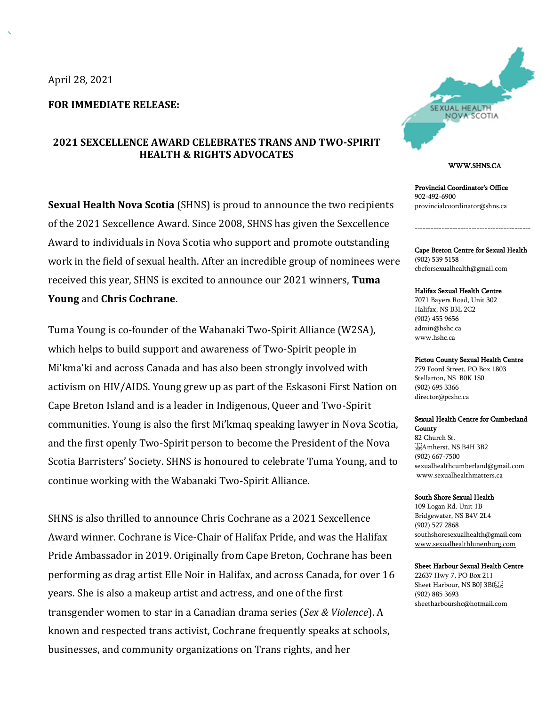**FOR IMMEDIATE RELEASE:**

# **2021 SEXCELLENCE AWARD CELEBRATES TRANS AND TWO-SPIRIT HEALTH & RIGHTS ADVOCATES**

**Sexual Health Nova Scotia** (SHNS) is proud to announce the two recipients of the 2021 Sexcellence Award. Since 2008, SHNS has given the Sexcellence Award to individuals in Nova Scotia who support and promote outstanding work in the field of sexual health. After an incredible group of nominees were received this year, SHNS is excited to announce our 2021 winners, **Tuma Young** and **Chris Cochrane**.

Tuma Young is co-founder of the Wabanaki Two-Spirit Alliance (W2SA), which helps to build support and awareness of Two-Spirit people in Mi'kma'ki and across Canada and has also been strongly involved with activism on HIV/AIDS. Young grew up as part of the Eskasoni First Nation on Cape Breton Island and is a leader in Indigenous, Queer and Two-Spirit communities. Young is also the first Mi'kmaq speaking lawyer in Nova Scotia, and the first openly Two-Spirit person to become the President of the Nova Scotia Barristers' Society. SHNS is honoured to celebrate Tuma Young, and to continue working with the Wabanaki Two-Spirit Alliance.

SHNS is also thrilled to announce Chris Cochrane as a 2021 Sexcellence Award winner. Cochrane is Vice-Chair of Halifax Pride, and was the Halifax Pride Ambassador in 2019. Originally from Cape Breton, Cochrane has been performing as drag artist Elle Noir in Halifax, and across Canada, for over 16 years. She is also a makeup artist and actress, and one of the first transgender women to star in a Canadian drama series (*Sex & Violence*). A known and respected trans activist, Cochrane frequently speaks at schools, businesses, and community organizations on Trans rights, and her



### WWW.SHNS.CA

Provincial Coordinator's Office 902-492-6900 provincialcoordinator@shns.ca

Cape Breton Centre for Sexual Health (902) 539 5158 cbcforsexualhealth@gmail.com

-------------------------------------------

#### Halifax Sexual Health Centre

7071 Bayers Road, Unit 302 Halifax, NS B3L 2C2 (902) 455 9656 admin@hshc.ca www.hshc.ca

### Pictou County Sexual Health Centre

279 Foord Street, PO Box 1803 Stellarton, NS B0K 1S0 (902) 695 3366 director@pcshc.ca

#### Sexual Health Centre for Cumberland **County**

82 Church St. Amherst, NS B4H 3B2 (902) 667-7500 sexualhealthcumberland@gmail.com www.sexualhealthmatters.ca

### South Shore Sexual Health

109 Logan Rd. Unit 1B Bridgewater, NS B4V 2L4 (902) 527 2868 southshoresexualhealth@gmail.com www.sexualhealthlunenburg.com

### Sheet Harbour Sexual Health Centre

22637 Hwy 7, PO Box 211 Sheet Harbour, NS B0J 3B0<sup>5</sup> (902) 885 3693 sheetharbourshc@hotmail.com